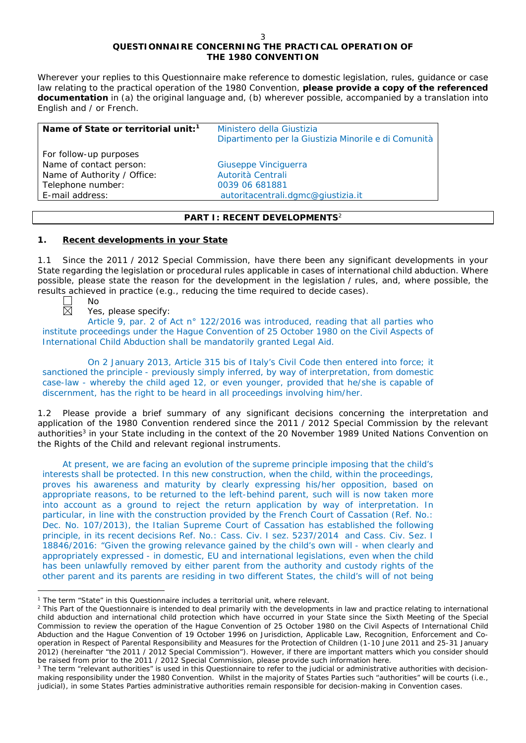# **QUESTIONNAIRE CONCERNING THE PRACTICAL OPERATION OF THE 1980 CONVENTION**

*Wherever your replies to this Questionnaire make reference to domestic legislation, rules, guidance or case*  law relating to the practical operation of the 1980 Convention, please provide a copy of the referenced *documentation in (a) the original language and, (b) wherever possible, accompanied by a translation into English and / or French.* 

| Ministero della Giustizia<br>Dipartimento per la Giustizia Minorile e di Comunità |
|-----------------------------------------------------------------------------------|
|                                                                                   |
| Giuseppe Vinciguerra                                                              |
| Autorità Centrali                                                                 |
| 0039 06 681881                                                                    |
| autoritacentrali.dgmc@giustizia.it                                                |
|                                                                                   |

## **PART I: RECENT DEVELOPMENTS**<sup>2</sup>

# **1. Recent developments in your State**

1.1 Since the 2011 / 2012 Special Commission, have there been any significant developments in your State regarding the legislation or procedural rules applicable in cases of international child abduction. Where possible, please state the reason for the development in the legislation / rules, and, where possible, the results achieved in practice (*e.g.*, reducing the time required to decide cases).



 $\overline{a}$ 

No

Yes, please specify:

Article 9, par. 2 of Act n° 122/2016 was introduced, reading that all parties who institute proceedings under the Hague Convention of 25 October 1980 on the Civil Aspects of International Child Abduction shall be mandatorily granted Legal Aid.

On 2 January 2013, Article 315 bis of Italy's Civil Code then entered into force; it sanctioned the principle - previously simply inferred, by way of interpretation, from domestic case-law - whereby the child aged 12, or even younger, provided that he/she is capable of discernment, has the right to be heard in all proceedings involving him/her.

1.2 Please provide a brief summary of any significant decisions concerning the interpretation and application of the 1980 Convention rendered since the 2011 / 2012 Special Commission by the relevant authorities<sup>3</sup> in your State including in the context of the 20 November 1989 United Nations Convention on the Rights of the Child and relevant regional instruments.

At present, we are facing an evolution of the supreme principle imposing that the child's interests shall be protected. In this new construction, when the child, within the proceedings, proves his awareness and maturity by clearly expressing his/her opposition, based on appropriate reasons, to be returned to the left-behind parent, such will is now taken more into account as a ground to reject the return application by way of interpretation. In particular, in line with the construction provided by the French Court of Cassation (Ref. No.: Dec. No. 107/2013), the Italian Supreme Court of Cassation has established the following principle, in its recent decisions Ref. No.: Cass. Civ. I sez. 5237/2014 and Cass. Civ. Sez. I 18846/2016: "Given the growing relevance gained by the child's own will - when clearly and appropriately expressed - in domestic, EU and international legislations, even when the child has been unlawfully removed by either parent from the authority and custody rights of the other parent and its parents are residing in two different States, the child's will of not being

<sup>1</sup> The term "State" in this Questionnaire includes a territorial unit, where relevant.

<sup>&</sup>lt;sup>2</sup> This Part of the Questionnaire is intended to deal primarily with the developments in law and practice relating to international child abduction and international child protection which have occurred in your State since the Sixth Meeting of the Special Commission to review the operation of the *Hague Convention of 25 October 1980 on the Civil Aspects of International Child Abduction* and the *Hague Convention of 19 October 1996 on Jurisdiction, Applicable Law, Recognition, Enforcement and Cooperation in Respect of Parental Responsibility and Measures for the Protection of Children* (1-10 June 2011 and 25-31 January 2012) (hereinafter "the 2011 / 2012 Special Commission"). However, if there are important matters which you consider should be raised from *prior to* the 2011 / 2012 Special Commission, please provide such information here.

<sup>&</sup>lt;sup>3</sup> The term "relevant authorities" is used in this Questionnaire to refer to the judicial or administrative authorities with decisionmaking responsibility under the 1980 Convention. Whilst in the majority of States Parties such "authorities" will be courts (*i.e.*, judicial), in some States Parties administrative authorities remain responsible for decision-making in Convention cases.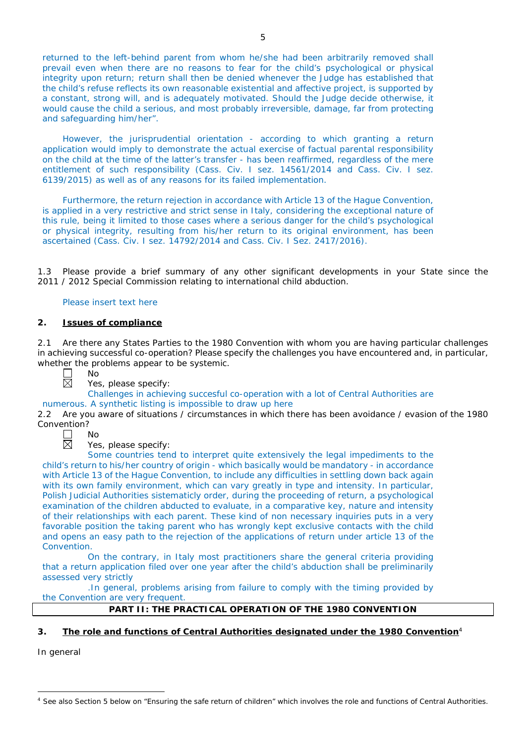returned to the left-behind parent from whom he/she had been arbitrarily removed shall prevail even when there are no reasons to fear for the child's psychological or physical integrity upon return; return shall then be denied whenever the Judge has established that the child's refuse reflects its own reasonable existential and affective project, is supported by a constant, strong will, and is adequately motivated. Should the Judge decide otherwise, it would cause the child a serious, and most probably irreversible, damage, far from protecting and safeguarding him/her".

However, the jurisprudential orientation - according to which granting a return application would imply to demonstrate the actual exercise of factual parental responsibility on the child at the time of the latter's transfer - has been reaffirmed, regardless of the mere entitlement of such responsibility (Cass. Civ. I sez. 14561/2014 and Cass. Civ. I sez. 6139/2015) as well as of any reasons for its failed implementation.

Furthermore, the return rejection in accordance with Article 13 of the Hague Convention, is applied in a very restrictive and strict sense in Italy, considering the exceptional nature of this rule, being it limited to those cases where a serious danger for the child's psychological or physical integrity, resulting from his/her return to its original environment, has been ascertained (Cass. Civ. I sez. 14792/2014 and Cass. Civ. I Sez. 2417/2016).

1.3 Please provide a brief summary of any other significant developments in your State since the 2011 / 2012 Special Commission relating to international child abduction.

## Please insert text here

## **2. Issues of compliance**

No

2.1 Are there any States Parties to the 1980 Convention with whom you are having particular challenges in achieving successful co-operation? Please specify the challenges you have encountered and, in particular, whether the problems appear to be systemic.

岗

Yes, please specify:

Challenges in achieving succesful co-operation with a lot of Central Authorities are

numerous. A synthetic listing is impossible to draw up here<br>2.2 Are you aware of situations / circumstances in which the 2.2 Are you aware of situations / circumstances in which there has been avoidance / evasion of the 1980



Yes, please specify:

Some countries tend to interpret quite extensively the legal impediments to the child's return to his/her country of origin - which basically would be mandatory - in accordance with Article 13 of the Hague Convention, to include any difficulties in settling down back again with its own family environment, which can vary greatly in type and intensity. In particular, Polish Judicial Authorities sistematicly order, during the proceeding of return, a psychological examination of the children abducted to evaluate, in a comparative key, nature and intensity of their relationships with each parent. These kind of non necessary inquiries puts in a very favorable position the taking parent who has wrongly kept exclusive contacts with the child and opens an easy path to the rejection of the applications of return under article 13 of the Convention.

On the contrary, in Italy most practitioners share the general criteria providing that a return application filed over one year after the child's abduction shall be preliminarily assessed very strictly

.In general, problems arising from failure to comply with the timing provided by the Convention are very frequent.

## **PART II: THE PRACTICAL OPERATION OF THE 1980 CONVENTION**

## **3. The role and functions of Central Authorities designated under the 1980 Convention**<sup>4</sup>

*In general*

 $\overline{a}$ <sup>4</sup> See also Section 5 below on "Ensuring the safe return of children" which involves the role and functions of Central Authorities.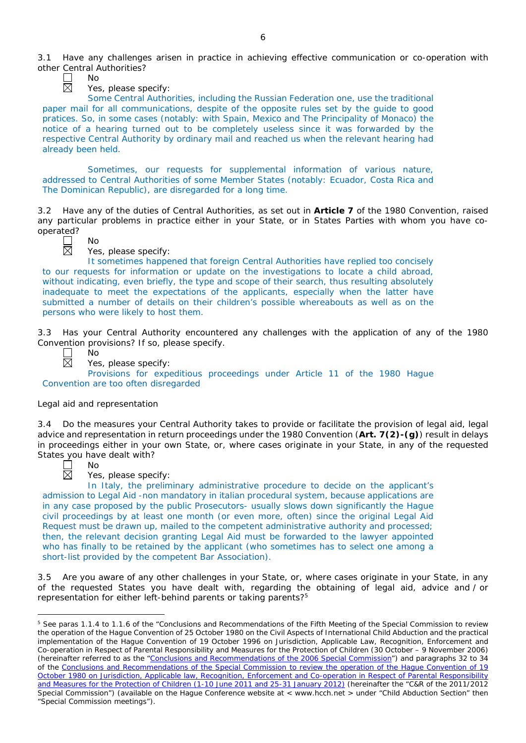

No

Yes, please specify:

Some Central Authorities, including the Russian Federation one, use the traditional paper mail for all communications, despite of the opposite rules set by the guide to good pratices. So, in some cases (notably: with Spain, Mexico and The Principality of Monaco) the notice of a hearing turned out to be completely useless since it was forwarded by the respective Central Authority by ordinary mail and reached us when the relevant hearing had already been held.

Sometimes, our requests for supplemental information of various nature, addressed to Central Authorities of some Member States (notably: Ecuador, Costa Rica and The Dominican Republic), are disregarded for a long time.

3.2 Have any of the duties of Central Authorities, as set out in **Article 7** of the 1980 Convention, raised any particular problems in practice either in your State, or in States Parties with whom you have cooperated?



No

Yes, please specify:

It sometimes happened that foreign Central Authorities have replied too concisely to our requests for information or update on the investigations to locate a child abroad, without indicating, even briefly, the type and scope of their search, thus resulting absolutely inadequate to meet the expectations of the applicants, especially when the latter have submitted a number of details on their children's possible whereabouts as well as on the persons who were likely to host them.

3.3 Has your Central Authority encountered any challenges with the application of any of the 1980 Convention provisions? If so, please specify.



Yes, please specify:

Provisions for expeditious proceedings under Article 11 of the 1980 Hague Convention are too often disregarded

## *Legal aid and representation*

No

No

3.4 Do the measures your Central Authority takes to provide or facilitate the provision of legal aid, legal advice and representation in return proceedings under the 1980 Convention (**Art. 7(2)-(g)**) result in delays in proceedings either in your own State, or, where cases originate in your State, in any of the requested States you have dealt with?



 $\overline{a}$ 

Yes, please specify:

In Italy, the preliminary administrative procedure to decide on the applicant's admission to Legal Aid -non mandatory in italian procedural system, because applications are in any case proposed by the public Prosecutors- usually slows down significantly the Hague civil proceedings by at least one month (or even more, often) since the original Legal Aid Request must be drawn up, mailed to the competent administrative authority and processed; then, the relevant decision granting Legal Aid must be forwarded to the lawyer appointed who has finally to be retained by the applicant (who sometimes has to select one among a short-list provided by the competent Bar Association).

3.5 Are you aware of any other challenges in your State, or, where cases originate in your State, in any of the requested States you have dealt with, regarding the obtaining of legal aid, advice and / or representation for either left-behind parents or taking parents?<sup>5</sup>

<sup>&</sup>lt;sup>5</sup> See paras 1.1.4 to 1.1.6 of the "Conclusions and Recommendations of the Fifth Meeting of the Special Commission to review the operation of the *Hague Convention of 25 October 1980 on the Civil Aspects of International Child Abduction* and the practical implementation of the *Hague Convention of 19 October 1996 on Jurisdiction, Applicable Law, Recognition, Enforcement and Co-operation in Respect of Parental Responsibility and Measures for the Protection of Children* (30 October – 9 November 2006) (hereinafter referred to as the ["Conclusions and Recommendations of the 2006 Special Commission"](https://assets.hcch.net/upload/concl28sc5_e.pdf)) and paragraphs 32 to 34 of the [Conclusions and Recommendations of the Special Commission](https://assets.hcch.net/upload/wop/concl28sc6_e.pdf) to review the operation of the Hague Convention of *19 [October 1980 on Jurisdiction, Applicable law, Recognition, Enforcement and Co-operation in Respect of Parental Responsibility](https://assets.hcch.net/upload/wop/concl28sc6_e.pdf)  [and Measures for the Protection of Children](https://assets.hcch.net/upload/wop/concl28sc6_e.pdf)* (1-10 June 2011 and 25-31 January 2012) (hereinafter the "C&R of the 2011/2012 Special Commission") (available on the Hague Conference website at < www.hcch.net > under "Child Abduction Section" then "Special Commission meetings").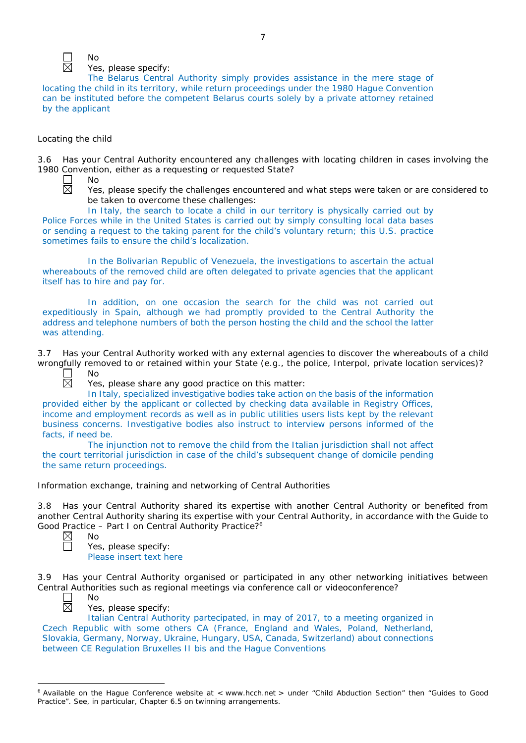

 $N<sub>0</sub>$ Yes, please specify:

The Belarus Central Authority simply provides assistance in the mere stage of locating the child in its territory, while return proceedings under the 1980 Hague Convention can be instituted before the competent Belarus courts solely by a private attorney retained by the applicant

# *Locating the child*

3.6 Has your Central Authority encountered any challenges with locating children in cases involving the 1980 Convention, either as a requesting or requested State?

 $\Box$ 闵

No

Yes, please specify the challenges encountered and what steps were taken or are considered to be taken to overcome these challenges:

In Italy, the search to locate a child in our territory is physically carried out by Police Forces while in the United States is carried out by simply consulting local data bases or sending a request to the taking parent for the child's voluntary return; this U.S. practice sometimes fails to ensure the child's localization.

In the Bolivarian Republic of Venezuela, the investigations to ascertain the actual whereabouts of the removed child are often delegated to private agencies that the applicant itself has to hire and pay for.

In addition, on one occasion the search for the child was not carried out expeditiously in Spain, although we had promptly provided to the Central Authority the address and telephone numbers of both the person hosting the child and the school the latter was attending.

3.7 Has your Central Authority worked with any external agencies to discover the whereabouts of a child wrongfully removed to or retained within your State (*e.g.*, the police, Interpol, private location services)? No

 $\overline{\boxtimes}$ 

Yes, please share any good practice on this matter:

In Italy, specialized investigative bodies take action on the basis of the information provided either by the applicant or collected by checking data available in Registry Offices, income and employment records as well as in public utilities users lists kept by the relevant business concerns. Investigative bodies also instruct to interview persons informed of the facts, if need be.

The injunction not to remove the child from the Italian jurisdiction shall not affect the court territorial jurisdiction in case of the child's subsequent change of domicile pending the same return proceedings.

*Information exchange, training and networking of Central Authorities*

3.8 Has your Central Authority shared its expertise with another Central Authority or benefited from another Central Authority sharing its expertise with your Central Authority, in accordance with the Guide to Good Practice – Part I on Central Authority Practice?<sup>6</sup><br>  $\boxtimes$  No



No

Yes, please specify: Please insert text here

3.9 Has your Central Authority organised or participated in any other networking initiatives between Central Authorities such as regional meetings via conference call or videoconference? No



 $\overline{a}$ 

Yes, please specify:

Italian Central Authority partecipated, in may of 2017, to a meeting organized in Czech Republic with some others CA (France, England and Wales, Poland, Netherland, Slovakia, Germany, Norway, Ukraine, Hungary, USA, Canada, Switzerland) about connections between CE Regulation Bruxelles II bis and the Hague Conventions

<sup>&</sup>lt;sup>6</sup> Available on the Hague Conference website at < www.hcch.net > under "Child Abduction Section" then "Guides to Good Practice". See, in particular, Chapter 6.5 on twinning arrangements.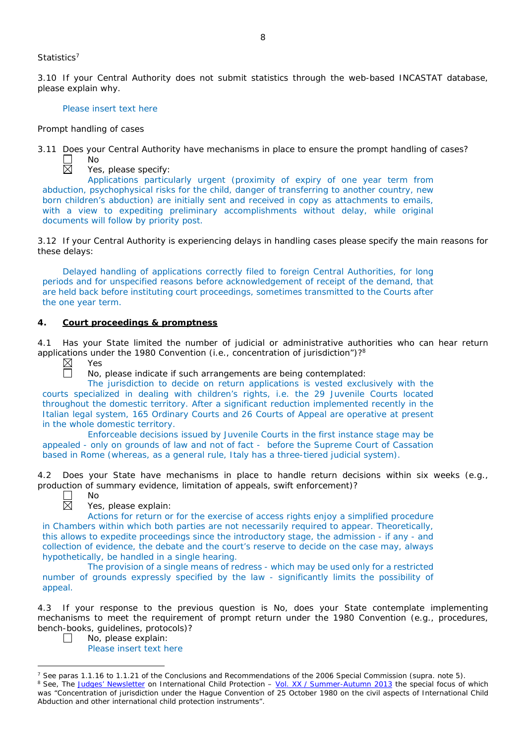### *Statistics*<sup>7</sup>

3.10 If your Central Authority does not submit statistics through the web-based INCASTAT database, please explain why.

### Please insert text here

### *Prompt handling of cases*

No

3.11 Does your Central Authority have mechanisms in place to ensure the prompt handling of cases?

 $\Box$ 区

Yes, please specify:

Applications particularly urgent (proximity of expiry of one year term from abduction, psychophysical risks for the child, danger of transferring to another country, new born children's abduction) are initially sent and received in copy as attachments to emails, with a view to expediting preliminary accomplishments without delay, while original documents will follow by priority post.

3.12 If your Central Authority is experiencing delays in handling cases please specify the main reasons for these delays:

Delayed handling of applications correctly filed to foreign Central Authorities, for long periods and for unspecified reasons before acknowledgement of receipt of the demand, that are held back before instituting court proceedings, sometimes transmitted to the Courts after the one year term.

## **4. Court proceedings & promptness**

4.1 Has your State limited the number of judicial or administrative authorities who can hear return applications under the 1980 Convention (*i.e.*, concentration of jurisdiction")?<sup>8</sup><br>  $\boxtimes$  Yes<br>  $\Box$  No, please indicate if such arrangements are being contemplated:

Yes

No, please indicate if such arrangements are being contemplated:

The jurisdiction to decide on return applications is vested exclusively with the courts specialized in dealing with children's rights, i.e. the 29 Juvenile Courts located throughout the domestic territory. After a significant reduction implemented recently in the Italian legal system, 165 Ordinary Courts and 26 Courts of Appeal are operative at present in the whole domestic territory.

Enforceable decisions issued by Juvenile Courts in the first instance stage may be appealed - only on grounds of law and not of fact - before the Supreme Court of Cassation based in Rome (whereas, as a general rule, Italy has a three-tiered judicial system).

4.2 Does your State have mechanisms in place to handle return decisions within six weeks (*e.g.*, production of summary evidence, limitation of appeals, swift enforcement)?



 $\overline{a}$ 

No

Yes, please explain:

Actions for return or for the exercise of access rights enjoy a simplified procedure in Chambers within which both parties are not necessarily required to appear. Theoretically, this allows to expedite proceedings since the introductory stage, the admission - if any - and collection of evidence, the debate and the court's reserve to decide on the case may, always hypothetically, be handled in a single hearing.

The provision of a single means of redress - which may be used only for a restricted number of grounds expressly specified by the law - significantly limits the possibility of appeal.

4.3 If your response to the previous question is No, does your State contemplate implementing mechanisms to meet the requirement of prompt return under the 1980 Convention (*e.g.*, procedures, bench-books, guidelines, protocols)?

 $\Box$ No, please explain: Please insert text here

<sup>7</sup> See paras 1.1.16 to 1.1.21 of the Conclusions and Recommendations of the 2006 Special Commission (*supra.* note 5). <sup>8</sup> See, *The [Judges' Newsletter](https://www.hcch.net/en/instruments/conventions/publications2/judges-newsletter)* on International Child Protection – Vol. XX / [Summer-Autumn 2013](https://assets.hcch.net/upload/newsletter/nl2013tome20en.pdf) the special focus of which was "Concentration of jurisdiction under the *Hague Convention of 25 October 1980 on the civil aspects of International Child Abduction* and other international child protection instruments".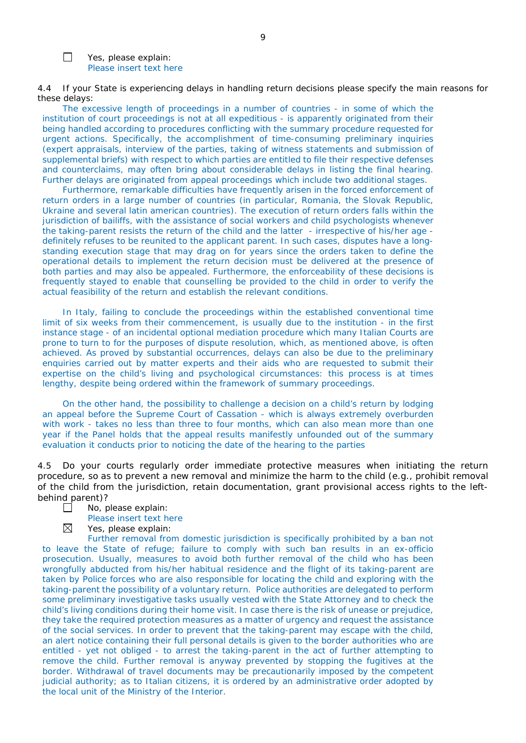Yes, please explain: Please insert text here

 $\Box$ 

4.4 If your State is experiencing delays in handling return decisions please specify the main reasons for these delays:

The excessive length of proceedings in a number of countries - in some of which the institution of court proceedings is not at all expeditious - is apparently originated from their being handled according to procedures conflicting with the summary procedure requested for urgent actions. Specifically, the accomplishment of time-consuming preliminary inquiries (expert appraisals, interview of the parties, taking of witness statements and submission of supplemental briefs) with respect to which parties are entitled to file their respective defenses and counterclaims, may often bring about considerable delays in listing the final hearing. Further delays are originated from appeal proceedings which include two additional stages.

Furthermore, remarkable difficulties have frequently arisen in the forced enforcement of return orders in a large number of countries (in particular, Romania, the Slovak Republic, Ukraine and several latin american countries). The execution of return orders falls within the jurisdiction of bailiffs, with the assistance of social workers and child psychologists whenever the taking-parent resists the return of the child and the latter - irrespective of his/her age definitely refuses to be reunited to the applicant parent. In such cases, disputes have a longstanding execution stage that may drag on for years since the orders taken to define the operational details to implement the return decision must be delivered at the presence of both parties and may also be appealed. Furthermore, the enforceability of these decisions is frequently stayed to enable that counselling be provided to the child in order to verify the actual feasibility of the return and establish the relevant conditions.

In Italy, failing to conclude the proceedings within the established conventional time limit of six weeks from their commencement, is usually due to the institution - in the first instance stage - of an incidental optional mediation procedure which many Italian Courts are prone to turn to for the purposes of dispute resolution, which, as mentioned above, is often achieved. As proved by substantial occurrences, delays can also be due to the preliminary enquiries carried out by matter experts and their aids who are requested to submit their expertise on the child's living and psychological circumstances: this process is at times lengthy, despite being ordered within the framework of summary proceedings.

On the other hand, the possibility to challenge a decision on a child's return by lodging an appeal before the Supreme Court of Cassation - which is always extremely overburden with work - takes no less than three to four months, which can also mean more than one year if the Panel holds that the appeal results manifestly unfounded out of the summary evaluation it conducts prior to noticing the date of the hearing to the parties

4.5 Do your courts regularly order immediate protective measures when initiating the return procedure, so as to prevent a new removal and minimize the harm to the child (*e.g.*, prohibit removal of the child from the jurisdiction, retain documentation, grant provisional access rights to the leftbehind parent)?

- $\Box$ No, please explain:
	- Please insert text here
		-
- ⊠ Yes, please explain:

Further removal from domestic jurisdiction is specifically prohibited by a ban not to leave the State of refuge; failure to comply with such ban results in an ex-officio prosecution. Usually, measures to avoid both further removal of the child who has been wrongfully abducted from his/her habitual residence and the flight of its taking-parent are taken by Police forces who are also responsible for locating the child and exploring with the taking-parent the possibility of a voluntary return. Police authorities are delegated to perform some preliminary investigative tasks usually vested with the State Attorney and to check the child's living conditions during their home visit. In case there is the risk of unease or prejudice, they take the required protection measures as a matter of urgency and request the assistance of the social services. In order to prevent that the taking-parent may escape with the child, an alert notice containing their full personal details is given to the border authorities who are entitled - yet not obliged - to arrest the taking-parent in the act of further attempting to remove the child. Further removal is anyway prevented by stopping the fugitives at the border. Withdrawal of travel documents may be precautionarily imposed by the competent judicial authority; as to Italian citizens, it is ordered by an administrative order adopted by the local unit of the Ministry of the Interior.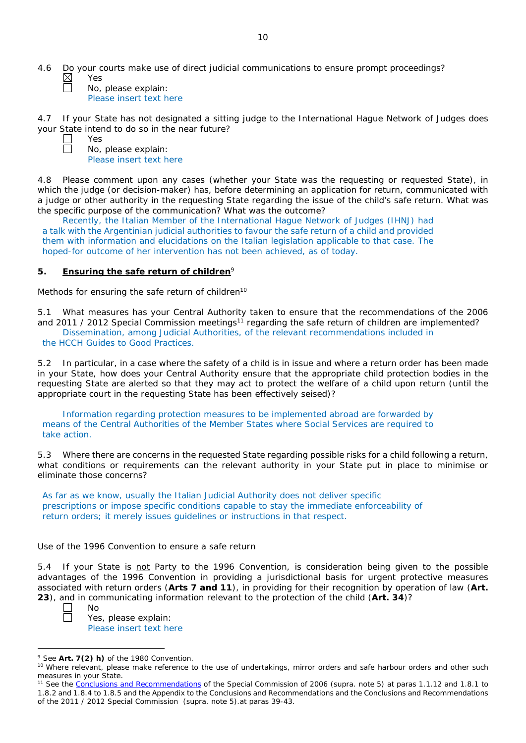4.6 Do your courts make use of direct judicial communications to ensure prompt proceedings? Yes

No, please explain: Please insert text here

4.7 If your State has not designated a sitting judge to the International Hague Network of Judges does your State intend to do so in the near future?

Yes No, please explain: Please insert text here

4.8 Please comment upon any cases (whether your State was the requesting or requested State), in which the judge (or decision-maker) has, before determining an application for return, communicated with a judge or other authority in the requesting State regarding the issue of the child's safe return. What was the specific purpose of the communication? What was the outcome?

Recently, the Italian Member of the International Hague Network of Judges (IHNJ) had a talk with the Argentinian judicial authorities to favour the safe return of a child and provided them with information and elucidations on the Italian legislation applicable to that case. The hoped-for outcome of her intervention has not been achieved, as of today.

# **5. Ensuring the safe return of children**<sup>9</sup>

*Methods for ensuring the safe return of children*<sup>10</sup>

5.1 What measures has your Central Authority taken to ensure that the recommendations of the 2006 and 2011 / 2012 Special Commission meetings<sup>11</sup> regarding the safe return of children are implemented? Dissemination, among Judicial Authorities, of the relevant recommendations included in

the HCCH Guides to Good Practices.

5.2 In particular, in a case where the safety of a child is in issue and where a return order has been made in your State, how does your Central Authority ensure that the appropriate child protection bodies in the *requesting* State are alerted so that they may act to protect the welfare of a child upon return (until the appropriate court in the requesting State has been effectively seised)?

Information regarding protection measures to be implemented abroad are forwarded by means of the Central Authorities of the Member States where Social Services are required to take action.

5.3 Where there are concerns in the requested State regarding possible risks for a child following a return, what conditions or requirements can the relevant authority in your State put in place to minimise or eliminate those concerns?

As far as we know, usually the Italian Judicial Authority does not deliver specific prescriptions or impose specific conditions capable to stay the immediate enforceability of return orders; it merely issues guidelines or instructions in that respect.

## *Use of the 1996 Convention to ensure a safe return*

5.4 If your State is not Party to the 1996 Convention, is consideration being given to the possible advantages of the 1996 Convention in providing a jurisdictional basis for urgent protective measures associated with return orders (**Arts 7 and 11**), in providing for their recognition by operation of law (**Art. 23**), and in communicating information relevant to the protection of the child (**Art. 34**)?

 $\overline{a}$ 

No

Yes, please explain: Please insert text here

<sup>9</sup> See **Art. 7(2)** *h)* of the 1980 Convention.

<sup>&</sup>lt;sup>10</sup> Where relevant, please make reference to the use of undertakings, mirror orders and safe harbour orders and other such measures in your State.

<sup>11</sup> See the [Conclusions and Recommendations](https://assets.hcch.net/upload/concl28sc5_e.pdf) of the Special Commission of 2006 (*supra.* note 5) at paras 1.1.12 and 1.8.1 to 1.8.2 and 1.8.4 to 1.8.5 and the Appendix to the Conclusions and Recommendations and the [Conclusions and Recommendations](https://assets.hcch.net/upload/wop/concl28sc6_e.pdf)  of the 2011 / [2012 Special Commission](https://assets.hcch.net/upload/wop/concl28sc6_e.pdf) (*supra.* note 5).at paras 39-43.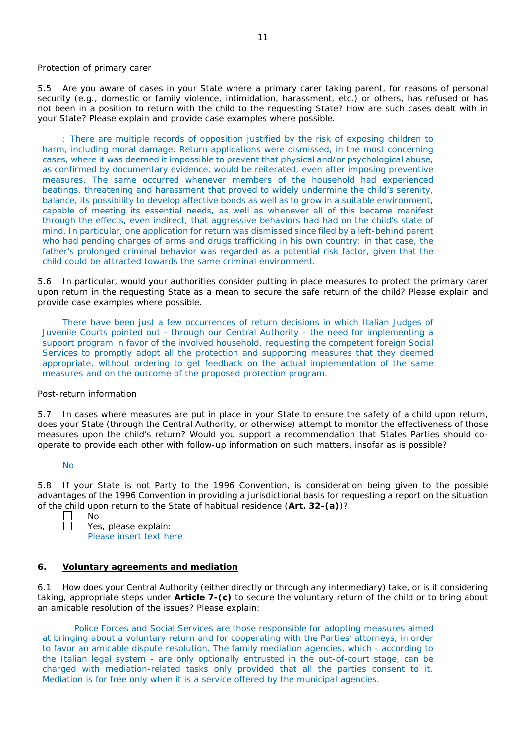### *Protection of primary carer*

5.5 Are you aware of cases in your State where a primary carer taking parent, for reasons of personal security (*e.g.*, domestic or family violence, intimidation, harassment, etc.) or others, has refused or has not been in a position to return with the child to the requesting State? How are such cases dealt with in your State? Please explain and provide case examples where possible.

: There are multiple records of opposition justified by the risk of exposing children to harm, including moral damage. Return applications were dismissed, in the most concerning cases, where it was deemed it impossible to prevent that physical and/or psychological abuse, as confirmed by documentary evidence, would be reiterated, even after imposing preventive measures. The same occurred whenever members of the household had experienced beatings, threatening and harassment that proved to widely undermine the child's serenity, balance, its possibility to develop affective bonds as well as to grow in a suitable environment, capable of meeting its essential needs, as well as whenever all of this became manifest through the effects, even indirect, that aggressive behaviors had had on the child's state of mind. In particular, one application for return was dismissed since filed by a left-behind parent who had pending charges of arms and drugs trafficking in his own country: in that case, the father's prolonged criminal behavior was regarded as a potential risk factor, given that the child could be attracted towards the same criminal environment.

5.6 In particular, would your authorities consider putting in place measures to protect the primary carer upon return in the requesting State as a mean to secure the safe return of the child? Please explain and provide case examples where possible.

There have been just a few occurrences of return decisions in which Italian Judges of Juvenile Courts pointed out - through our Central Authority - the need for implementing a support program in favor of the involved household, requesting the competent foreign Social Services to promptly adopt all the protection and supporting measures that they deemed appropriate, without ordering to get feedback on the actual implementation of the same measures and on the outcome of the proposed protection program.

## *Post-return information*

5.7 In cases where measures are put in place in your State to ensure the safety of a child upon return, does your State (through the Central Authority, or otherwise) attempt to monitor the effectiveness of those measures upon the child's return? Would you support a recommendation that States Parties should cooperate to provide each other with follow-up information on such matters, insofar as is possible?

### No

5.8 If your State is not Party to the 1996 Convention, is consideration being given to the possible advantages of the 1996 Convention in providing a jurisdictional basis for requesting a report on the situation of the child upon return to the State of habitual residence (**Art. 32-(a)**)?

| No                      |
|-------------------------|
| Yes, please explain:    |
| Please insert text here |

## **6. Voluntary agreements and mediation**

6.1 How does your Central Authority (either directly or through any intermediary) take, or is it considering taking, appropriate steps under **Article 7-(c)** to secure the voluntary return of the child or to bring about an amicable resolution of the issues? Please explain:

Police Forces and Social Services are those responsible for adopting measures aimed at bringing about a voluntary return and for cooperating with the Parties' attorneys, in order to favor an amicable dispute resolution. The family mediation agencies, which - according to the Italian legal system - are only optionally entrusted in the out-of-court stage, can be charged with mediation-related tasks only provided that all the parties consent to it. Mediation is for free only when it is a service offered by the municipal agencies.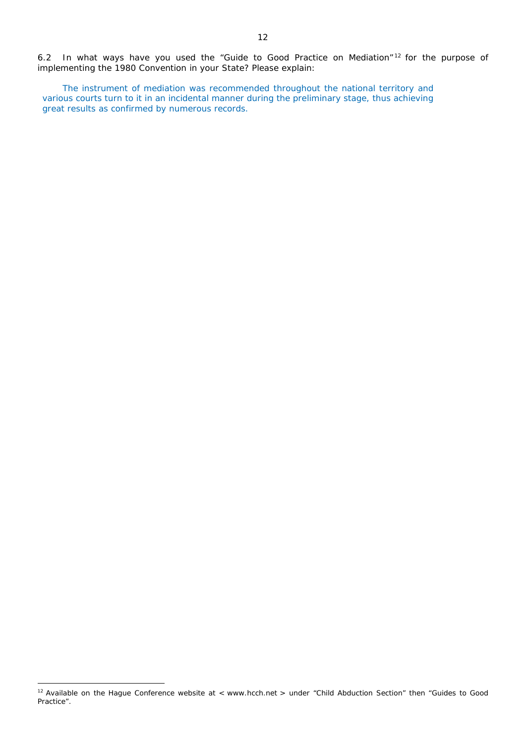6.2 In what ways have you used the "Guide to Good Practice on Mediation" <sup>12</sup> for the purpose of implementing the 1980 Convention in your State? Please explain:

The instrument of mediation was recommended throughout the national territory and various courts turn to it in an incidental manner during the preliminary stage, thus achieving great results as confirmed by numerous records.

 $\overline{a}$ 

<sup>&</sup>lt;sup>12</sup> Available on the Hague Conference website at < www.hcch.net > under "Child Abduction Section" then "Guides to Good Practice".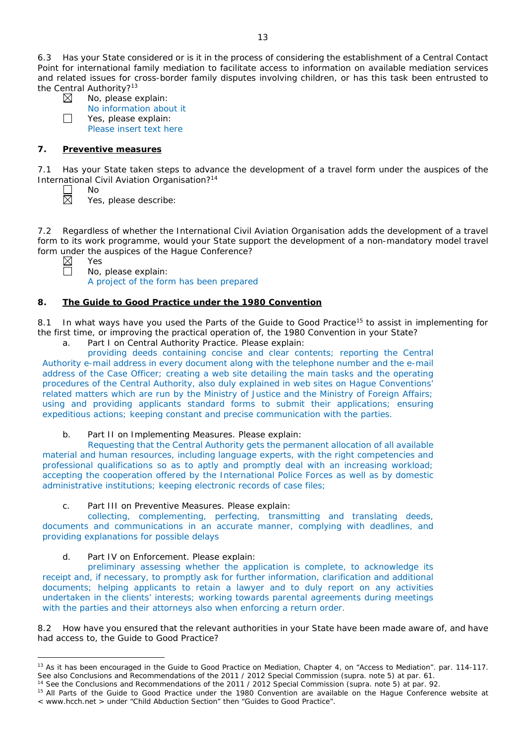6.3 Has your State considered or is it in the process of considering the establishment of a Central Contact Point for international family mediation to facilitate access to information on available mediation services and related issues for cross-border family disputes involving children, or has this task been entrusted to the Central Authority?<sup>13</sup>

| ۰<br>× |  |
|--------|--|
|        |  |
|        |  |
|        |  |
|        |  |
|        |  |
|        |  |
|        |  |
|        |  |
|        |  |

 $\Box$ 

No, please explain: No information about it Yes, please explain:

Please insert text here

# **7. Preventive measures**

No

7.1 Has your State taken steps to advance the development of a travel form under the auspices of the International Civil Aviation Organisation?14

Yes, please describe:

7.2 Regardless of whether the International Civil Aviation Organisation adds the development of a travel form to its work programme, would your State support the development of a non-mandatory model travel form under the auspices of the Hague Conference?

 $\overline{a}$ 

Yes No, please explain: A project of the form has been prepared

# **8. The Guide to Good Practice under the 1980 Convention**

8.1 In what ways have you used the Parts of the Guide to Good Practice<sup>15</sup> to assist in implementing for the first time, or improving the practical operation of, the 1980 Convention in your State?

a. Part I on Central Authority Practice. Please explain:

providing deeds containing concise and clear contents; reporting the Central Authority e-mail address in every document along with the telephone number and the e-mail address of the Case Officer; creating a web site detailing the main tasks and the operating procedures of the Central Authority, also duly explained in web sites on Hague Conventions' related matters which are run by the Ministry of Justice and the Ministry of Foreign Affairs; using and providing applicants standard forms to submit their applications; ensuring expeditious actions; keeping constant and precise communication with the parties.

b. Part II on Implementing Measures. Please explain:

Requesting that the Central Authority gets the permanent allocation of all available material and human resources, including language experts, with the right competencies and professional qualifications so as to aptly and promptly deal with an increasing workload; accepting the cooperation offered by the International Police Forces as well as by domestic administrative institutions; keeping electronic records of case files;

c. Part III on Preventive Measures. Please explain:

collecting, complementing, perfecting, transmitting and translating deeds, documents and communications in an accurate manner, complying with deadlines, and providing explanations for possible delays

d. Part IV on Enforcement. Please explain:

preliminary assessing whether the application is complete, to acknowledge its receipt and, if necessary, to promptly ask for further information, clarification and additional documents; helping applicants to retain a lawyer and to duly report on any activities undertaken in the clients' interests; working towards parental agreements during meetings with the parties and their attorneys also when enforcing a return order.

8.2 How have you ensured that the relevant authorities in your State have been made aware of, and have had access to, the Guide to Good Practice?

<sup>&</sup>lt;sup>13</sup> As it has been encouraged in the Guide to Good Practice on Mediation, Chapter 4, on "Access to Mediation". par. 114-117. See also [Conclusions and Recommendations of the 2011](https://assets.hcch.net/upload/wop/concl28sc6_e.pdf) / 2012 Special Commission (*supra.* note 5) at par. 61.

<sup>14</sup> See the [Conclusions and Recommendations of the 2011](https://assets.hcch.net/upload/wop/concl28sc6_e.pdf) / 2012 Special Commission (*supra.* note 5) at par. 92.

<sup>&</sup>lt;sup>15</sup> All Parts of the Guide to Good Practice under the 1980 Convention are available on the Hague Conference website at < www.hcch.net > under "Child Abduction Section" then "Guides to Good Practice".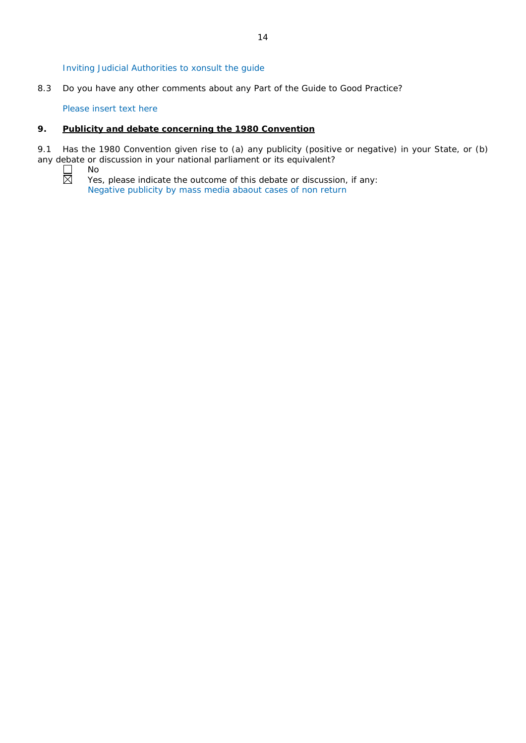Inviting Judicial Authorities to xonsult the guide

8.3 Do you have any other comments about any Part of the Guide to Good Practice?

Please insert text here

# **9. Publicity and debate concerning the 1980 Convention**

9.1 Has the 1980 Convention given rise to (a) any publicity (positive or negative) in your State, or (b) any debate or discussion in your national parliament or its equivalent?<br>  $\square$  No<br>
Yes, please indicate the outcome of this debate or discussion

No

Yes, please indicate the outcome of this debate or discussion, if any: Negative publicity by mass media abaout cases of non return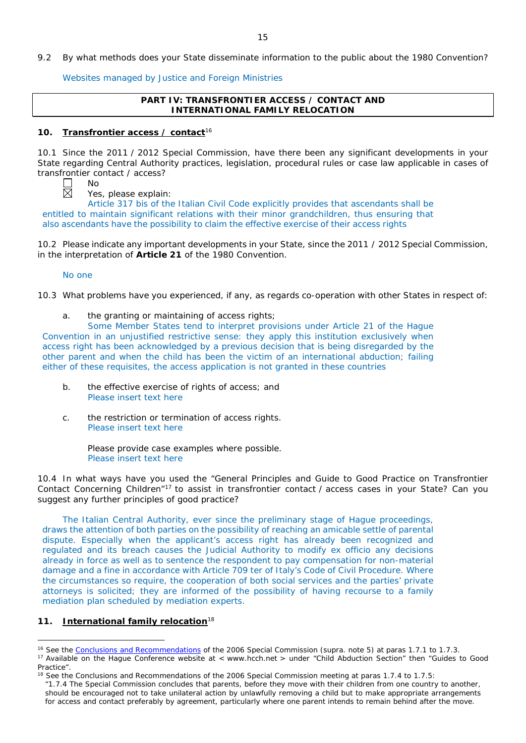9.2 By what methods does your State disseminate information to the public about the 1980 Convention?

Websites managed by Justice and Foreign Ministries

# **PART IV: TRANSFRONTIER ACCESS / CONTACT AND INTERNATIONAL FAMILY RELOCATION**

## **10. Transfrontier access / contact**<sup>16</sup>

10.1 Since the 2011 / 2012 Special Commission, have there been any significant developments in your State regarding Central Authority practices, legislation, procedural rules or case law applicable in cases of transfrontier contact / access?

No

Yes, please explain:

Article 317 bis of the Italian Civil Code explicitly provides that ascendants shall be entitled to maintain significant relations with their minor grandchildren, thus ensuring that also ascendants have the possibility to claim the effective exercise of their access rights

10.2 Please indicate any important developments in your State, since the 2011 / 2012 Special Commission, in the interpretation of **Article 21** of the 1980 Convention.

No one

10.3 What problems have you experienced, if any, as regards co-operation with other States in respect of:

a. the granting or maintaining of access rights;

Some Member States tend to interpret provisions under Article 21 of the Hague Convention in an unjustified restrictive sense: they apply this institution exclusively when access right has been acknowledged by a previous decision that is being disregarded by the other parent and when the child has been the victim of an international abduction; failing either of these requisites, the access application is not granted in these countries

- b. the effective exercise of rights of access; and Please insert text here
- c. the restriction or termination of access rights. Please insert text here

Please provide case examples where possible. Please insert text here

10.4 In what ways have you used the "General Principles and Guide to Good Practice on Transfrontier Contact Concerning Children"17 to assist in transfrontier contact / access cases in your State? Can you suggest any further principles of good practice?

The Italian Central Authority, ever since the preliminary stage of Hague proceedings, draws the attention of both parties on the possibility of reaching an amicable settle of parental dispute. Especially when the applicant's access right has already been recognized and regulated and its breach causes the Judicial Authority to modify ex officio any decisions already in force as well as to sentence the respondent to pay compensation for non-material damage and a fine in accordance with Article 709 ter of Italy's Code of Civil Procedure. Where the circumstances so require, the cooperation of both social services and the parties' private attorneys is solicited; they are informed of the possibility of having recourse to a family mediation plan scheduled by mediation experts.

## **11. International family relocation**<sup>18</sup>

 $\overline{a}$ 

<sup>16</sup> See the [Conclusions and Recommendations](https://assets.hcch.net/upload/concl28sc5_e.pdf) of the 2006 Special Commission (*supra.* note 5) at paras 1.7.1 to 1.7.3. <sup>17</sup> Available on the Haque Conference website at < www.hcch.net > under "Child Abduction Section" then "Guides to Good Practice".

<sup>&</sup>lt;sup>18</sup> See the Conclusions and Recommendations of the 2006 Special Commission meeting at paras 1.7.4 to 1.7.5:

*<sup>&</sup>quot;*1.7.4 The Special Commission concludes that parents, before they move with their children from one country to another, should be encouraged not to take unilateral action by unlawfully removing a child but to make appropriate arrangements for access and contact preferably by agreement, particularly where one parent intends to remain behind after the move.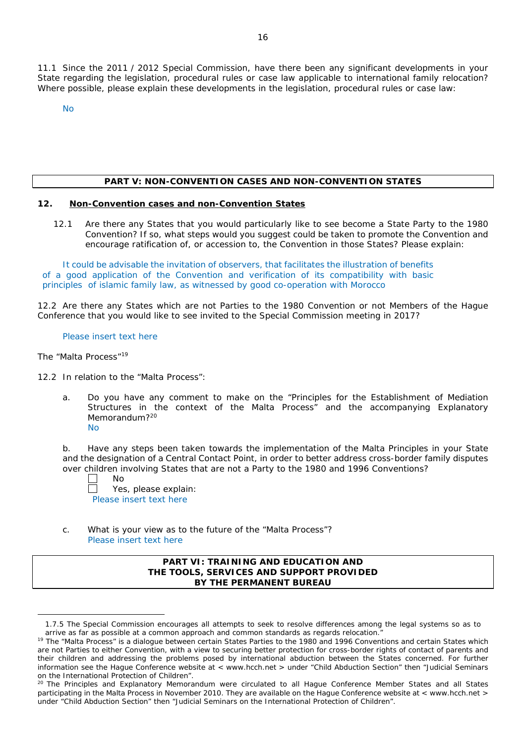11.1 Since the 2011 / 2012 Special Commission, have there been any significant developments in your State regarding the legislation, procedural rules or case law applicable to international family relocation? Where possible, please explain these developments in the legislation, procedural rules or case law:

No

# **PART V: NON-CONVENTION CASES AND NON-CONVENTION STATES**

### **12. Non-Convention cases and non-Convention States**

12.1 Are there any States that you would particularly like to see become a State Party to the 1980 Convention? If so, what steps would you suggest could be taken to promote the Convention and encourage ratification of, or accession to, the Convention in those States? Please explain:

It could be advisable the invitation of observers, that facilitates the illustration of benefits of a good application of the Convention and verification of its compatibility with basic principles of islamic family law, as witnessed by good co-operation with Morocco

12.2 Are there any States which are not Parties to the 1980 Convention or not Members of the Hague Conference that you would like to see invited to the Special Commission meeting in 2017?

#### Please insert text here

#### *The "Malta Process"*<sup>19</sup>

 $\overline{a}$ 

- 12.2 In relation to the "Malta Process":
	- a. Do you have any comment to make on the "Principles for the Establishment of Mediation Structures in the context of the Malta Process" and the accompanying Explanatory Memorandum?<sup>20</sup> No

b. Have any steps been taken towards the implementation of the Malta Principles in your State and the designation of a Central Contact Point, in order to better address cross-border family disputes over children involving States that are not a Party to the 1980 and 1996 Conventions?

| $\Box$ | Nο                      |
|--------|-------------------------|
| $\Box$ | Yes, please explain:    |
|        | Please insert text here |

c. What is your view as to the future of the "Malta Process"? Please insert text here

### **PART VI: TRAINING AND EDUCATION AND THE TOOLS, SERVICES AND SUPPORT PROVIDED BY THE PERMANENT BUREAU**

<sup>1.7.5</sup> The Special Commission encourages all attempts to seek to resolve differences among the legal systems so as to arrive as far as possible at a common approach and common standards as regards relocation."

<sup>&</sup>lt;sup>19</sup> The "Malta Process" is a dialoque between certain States Parties to the 1980 and 1996 Conventions and certain States which are not Parties to either Convention, with a view to securing better protection for cross-border rights of contact of parents and their children and addressing the problems posed by international abduction between the States concerned. For further information see the Hague Conference website at < www.hcch.net > under "Child Abduction Section" then "Judicial Seminars on the International Protection of Children".

<sup>&</sup>lt;sup>20</sup> The Principles and Explanatory Memorandum were circulated to all Hague Conference Member States and all States participating in the Malta Process in November 2010. They are available on the Hague Conference website at < www.hcch.net > under "Child Abduction Section" then "Judicial Seminars on the International Protection of Children".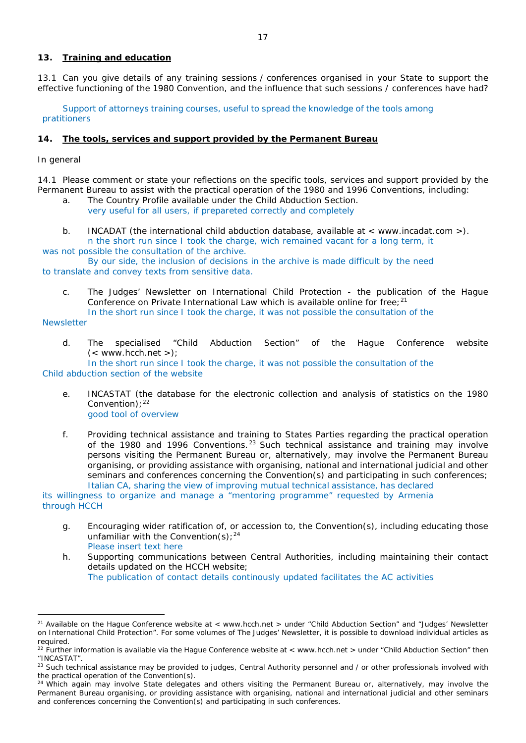# **13. Training and education**

13.1 Can you give details of any training sessions / conferences organised in your State to support the effective functioning of the 1980 Convention, and the influence that such sessions / conferences have had?

Support of attorneys training courses, useful to spread the knowledge of the tools among pratitioners

## **14. The tools, services and support provided by the Permanent Bureau**

## *In general*

14.1 Please comment or state your reflections on the specific tools, services and support provided by the Permanent Bureau to assist with the practical operation of the 1980 and 1996 Conventions, including: a. The Country Profile available under the Child Abduction Section.

- very useful for all users, if prepareted correctly and completely
- b. INCADAT (the international child abduction database, available at  $\lt$  www.incadat.com  $\gt$ ). n the short run since I took the charge, wich remained vacant for a long term, it

was not possible the consultation of the archive. By our side, the inclusion of decisions in the archive is made difficult by the need to translate and convey texts from sensitive data.

c. *The Judges' Newsletter* on International Child Protection - the publication of the Hague Conference on Private International Law which is available online for free:  $21$ 

In the short run since I took the charge, it was not possible the consultation of the

**Newsletter** 

 $\overline{a}$ 

d. The specialised "Child Abduction Section" of the Hague Conference website  $(<$  www.hcch.net >);

In the short run since I took the charge, it was not possible the consultation of the Child abduction section of the website

- e. INCASTAT (the database for the electronic collection and analysis of statistics on the 1980  $Convention):^{22}$ good tool of overview
- f. Providing technical assistance and training to States Parties regarding the practical operation of the 1980 and 1996 Conventions.<sup>23</sup> Such technical assistance and training may involve persons visiting the Permanent Bureau or, alternatively, may involve the Permanent Bureau organising, or providing assistance with organising, national and international judicial and other seminars and conferences concerning the Convention(s) and participating in such conferences; Italian CA, sharing the view of improving mutual technical assistance, has declared

its willingness to organize and manage a "mentoring programme" requested by Armenia through HCCH

g. Encouraging wider ratification of, or accession to, the Convention(s), including educating those unfamiliar with the Convention(s):  $24$ Please insert text here

h. Supporting communications between Central Authorities, including maintaining their contact details updated on the HCCH website; The publication of contact details continously updated facilitates the AC activities

<sup>&</sup>lt;sup>21</sup> Available on the Hague Conference website at < www.hcch.net > under "Child Abduction Section" and "Judges' Newsletter on International Child Protection". For some volumes of *The Judges' Newsletter*, it is possible to download individual articles as required.

 $22$  Further information is available via the Hague Conference website at < www.hcch.net > under "Child Abduction Section" then "INCASTAT".

<sup>&</sup>lt;sup>23</sup> Such technical assistance may be provided to judges, Central Authority personnel and / or other professionals involved with the practical operation of the Convention(s).

 $24$  Which again may involve State delegates and others visiting the Permanent Bureau or, alternatively, may involve the Permanent Bureau organising, or providing assistance with organising, national and international judicial and other seminars and conferences concerning the Convention(s) and participating in such conferences.